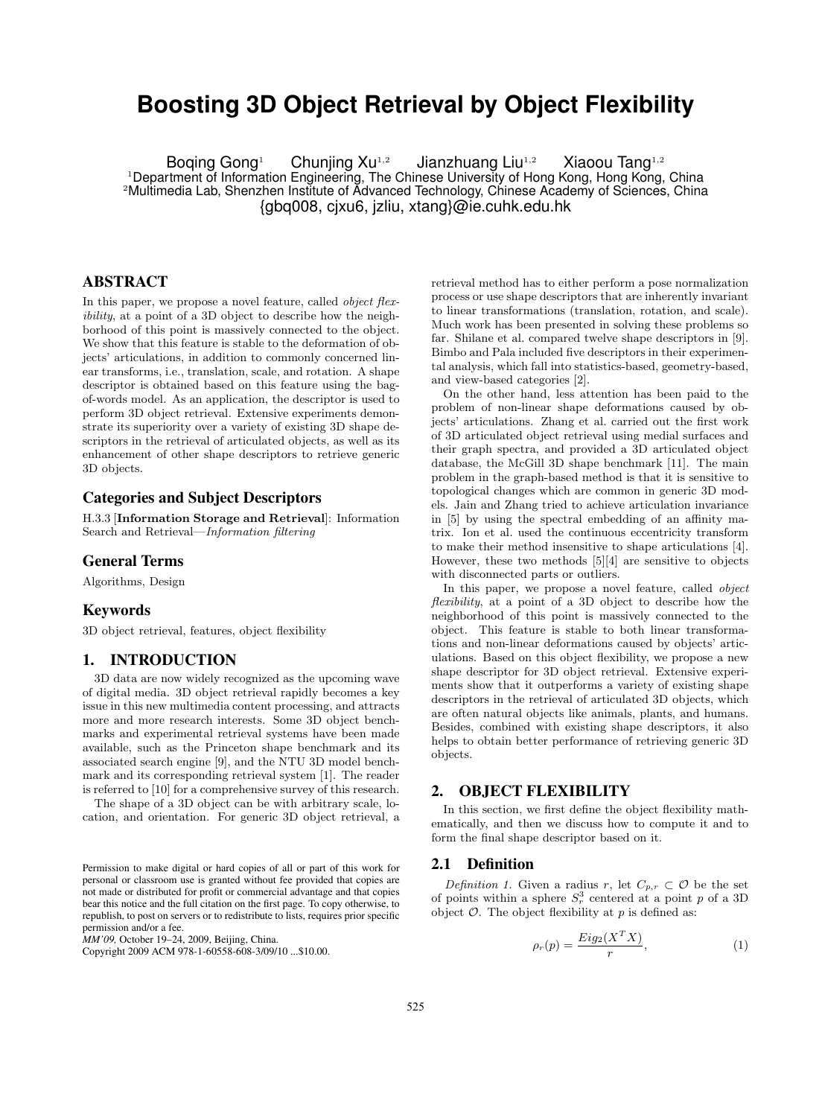# **Boosting 3D Object Retrieval by Object Flexibility**

Boqing Gong<sup>1</sup> Chunjing Xu<sup>1,2</sup> Jianzhuang Liu<sup>1,2</sup> Xiaoou Tang<sup>1,2</sup> <sup>1</sup>Department of Information Engineering, The Chinese University of Hong Kong, Hong Kong, China <sup>2</sup>Multimedia Lab, Shenzhen Institute of Advanced Technology, Chinese Academy of Sciences, China {gbq008, cjxu6, jzliu, xtang}@ie.cuhk.edu.hk

# ABSTRACT

In this paper, we propose a novel feature, called *object flex*ibility, at a point of a 3D object to describe how the neighborhood of this point is massively connected to the object. We show that this feature is stable to the deformation of objects' articulations, in addition to commonly concerned linear transforms, i.e., translation, scale, and rotation. A shape descriptor is obtained based on this feature using the bagof-words model. As an application, the descriptor is used to perform 3D object retrieval. Extensive experiments demonstrate its superiority over a variety of existing 3D shape descriptors in the retrieval of articulated objects, as well as its enhancement of other shape descriptors to retrieve generic 3D objects.

# Categories and Subject Descriptors

H.3.3 [Information Storage and Retrieval]: Information Search and Retrieval—Information filtering

#### General Terms

Algorithms, Design

#### Keywords

3D object retrieval, features, object flexibility

# 1. INTRODUCTION

3D data are now widely recognized as the upcoming wave of digital media. 3D object retrieval rapidly becomes a key issue in this new multimedia content processing, and attracts more and more research interests. Some 3D object benchmarks and experimental retrieval systems have been made available, such as the Princeton shape benchmark and its associated search engine [9], and the NTU 3D model benchmark and its corresponding retrieval system [1]. The reader is referred to [10] for a comprehensive survey of this research.

The shape of a 3D object can be with arbitrary scale, location, and orientation. For generic 3D object retrieval, a

Copyright 2009 ACM 978-1-60558-608-3/09/10 ...\$10.00.

retrieval method has to either perform a pose normalization process or use shape descriptors that are inherently invariant to linear transformations (translation, rotation, and scale). Much work has been presented in solving these problems so far. Shilane et al. compared twelve shape descriptors in [9]. Bimbo and Pala included five descriptors in their experimental analysis, which fall into statistics-based, geometry-based, and view-based categories [2].

On the other hand, less attention has been paid to the problem of non-linear shape deformations caused by objects' articulations. Zhang et al. carried out the first work of 3D articulated object retrieval using medial surfaces and their graph spectra, and provided a 3D articulated object database, the McGill 3D shape benchmark [11]. The main problem in the graph-based method is that it is sensitive to topological changes which are common in generic 3D models. Jain and Zhang tried to achieve articulation invariance in [5] by using the spectral embedding of an affinity matrix. Ion et al. used the continuous eccentricity transform to make their method insensitive to shape articulations [4]. However, these two methods [5][4] are sensitive to objects with disconnected parts or outliers.

In this paper, we propose a novel feature, called *object* flexibility, at a point of a 3D object to describe how the neighborhood of this point is massively connected to the object. This feature is stable to both linear transformations and non-linear deformations caused by objects' articulations. Based on this object flexibility, we propose a new shape descriptor for 3D object retrieval. Extensive experiments show that it outperforms a variety of existing shape descriptors in the retrieval of articulated 3D objects, which are often natural objects like animals, plants, and humans. Besides, combined with existing shape descriptors, it also helps to obtain better performance of retrieving generic 3D objects.

#### 2. OBJECT FLEXIBILITY

In this section, we first define the object flexibility mathematically, and then we discuss how to compute it and to form the final shape descriptor based on it.

#### 2.1 Definition

Definition 1. Given a radius r, let  $C_{p,r} \subset \mathcal{O}$  be the set of points within a sphere  $S_r^3$  centered at a point p of a 3D object  $\mathcal O$ . The object flexibility at p is defined as:

$$
\rho_r(p) = \frac{Eig_2(X^TX)}{r},\tag{1}
$$

Permission to make digital or hard copies of all or part of this work for personal or classroom use is granted without fee provided that copies are not made or distributed for profit or commercial advantage and that copies bear this notice and the full citation on the first page. To copy otherwise, to republish, to post on servers or to redistribute to lists, requires prior specific permission and/or a fee.

*MM'09,* October 19–24, 2009, Beijing, China.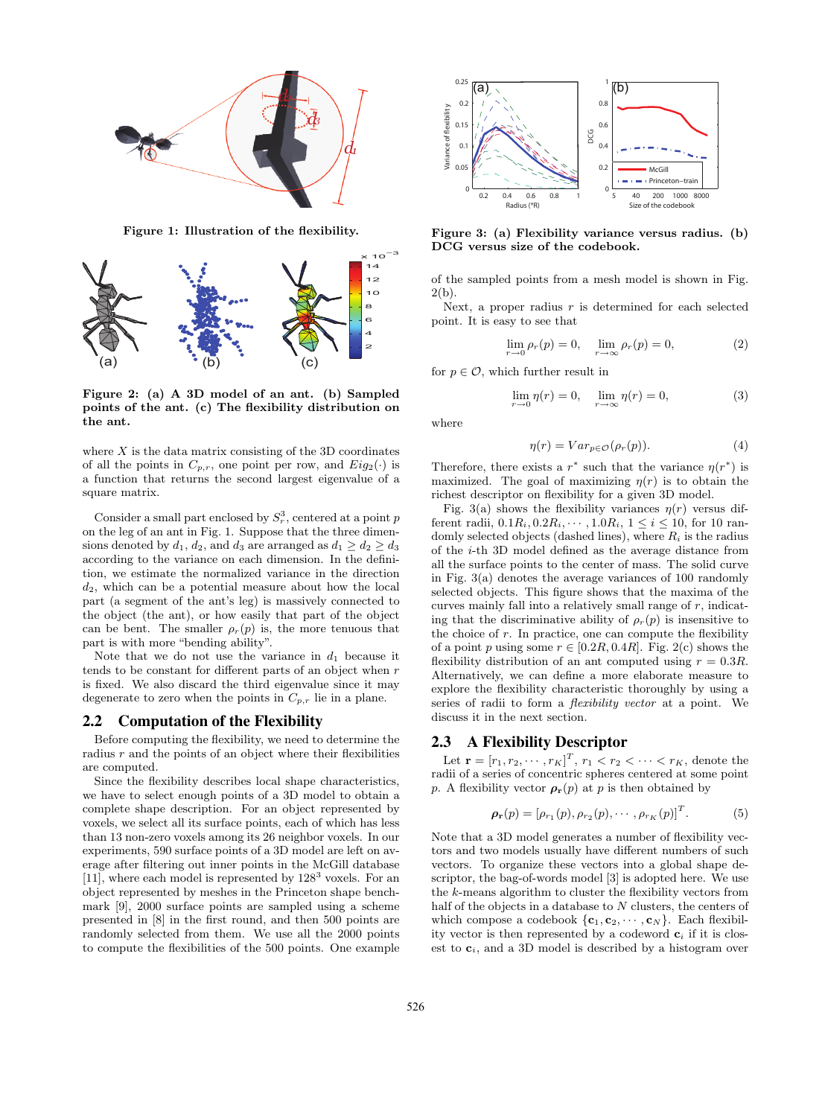

Figure 1: Illustration of the flexibility.



Figure 2: (a) A 3D model of an ant. (b) Sampled points of the ant. (c) The flexibility distribution on the ant.

where  $X$  is the data matrix consisting of the 3D coordinates of all the points in  $C_{p,r}$ , one point per row, and  $Eig_2(\cdot)$  is a function that returns the second largest eigenvalue of a square matrix.

Consider a small part enclosed by  $S_r^3$ , centered at a point p on the leg of an ant in Fig. 1. Suppose that the three dimensions denoted by  $d_1, d_2$ , and  $d_3$  are arranged as  $d_1 \geq d_2 \geq d_3$ according to the variance on each dimension. In the definition, we estimate the normalized variance in the direction  $d_2$ , which can be a potential measure about how the local part (a segment of the ant's leg) is massively connected to the object (the ant), or how easily that part of the object can be bent. The smaller  $\rho_r(p)$  is, the more tenuous that part is with more "bending ability".

Note that we do not use the variance in  $d_1$  because it tends to be constant for different parts of an object when  $r$ is fixed. We also discard the third eigenvalue since it may degenerate to zero when the points in  $C_{p,r}$  lie in a plane.

### 2.2 Computation of the Flexibility

Before computing the flexibility, we need to determine the radius  $r$  and the points of an object where their flexibilities are computed.

Since the flexibility describes local shape characteristics, we have to select enough points of a 3D model to obtain a complete shape description. For an object represented by voxels, we select all its surface points, each of which has less than 13 non-zero voxels among its 26 neighbor voxels. In our experiments, 590 surface points of a 3D model are left on average after filtering out inner points in the McGill database [11], where each model is represented by  $128<sup>3</sup>$  voxels. For an object represented by meshes in the Princeton shape benchmark [9], 2000 surface points are sampled using a scheme presented in [8] in the first round, and then 500 points are randomly selected from them. We use all the 2000 points to compute the flexibilities of the 500 points. One example



Figure 3: (a) Flexibility variance versus radius. (b) DCG versus size of the codebook.

of the sampled points from a mesh model is shown in Fig.  $2(b)$ .

Next, a proper radius  $r$  is determined for each selected point. It is easy to see that

$$
\lim_{r \to 0} \rho_r(p) = 0, \quad \lim_{r \to \infty} \rho_r(p) = 0,
$$
\n(2)

for  $p \in \mathcal{O}$ , which further result in

$$
\lim_{r \to 0} \eta(r) = 0, \quad \lim_{r \to \infty} \eta(r) = 0,\tag{3}
$$

where

$$
\eta(r) = Var_{p \in \mathcal{O}}(\rho_r(p)).\tag{4}
$$

Therefore, there exists a  $r^*$  such that the variance  $\eta(r^*)$  is maximized. The goal of maximizing  $\eta(r)$  is to obtain the richest descriptor on flexibility for a given 3D model.

Fig. 3(a) shows the flexibility variances  $\eta(r)$  versus different radii,  $0.1R_i, 0.2R_i, \cdots, 1.0R_i, 1 \le i \le 10$ , for 10 randomly selected objects (dashed lines), where  $R_i$  is the radius of the i-th 3D model defined as the average distance from all the surface points to the center of mass. The solid curve in Fig. 3(a) denotes the average variances of 100 randomly selected objects. This figure shows that the maxima of the curves mainly fall into a relatively small range of  $r$ , indicating that the discriminative ability of  $\rho_r(p)$  is insensitive to the choice of  $r$ . In practice, one can compute the flexibility of a point p using some  $r \in [0.2R, 0.4R]$ . Fig. 2(c) shows the flexibility distribution of an ant computed using  $r = 0.3R$ . Alternatively, we can define a more elaborate measure to explore the flexibility characteristic thoroughly by using a series of radii to form a flexibility vector at a point. We discuss it in the next section.

# 2.3 A Flexibility Descriptor

Let  $\mathbf{r} = [r_1, r_2, \cdots, r_K]^T$ ,  $r_1 < r_2 < \cdots < r_K$ , denote the radii of a series of concentric spheres centered at some point p. A flexibility vector  $\rho_{r}(p)$  at p is then obtained by

$$
\rho_{\mathbf{r}}(p) = [\rho_{r_1}(p), \rho_{r_2}(p), \cdots, \rho_{r_K}(p)]^T.
$$
 (5)

Note that a 3D model generates a number of flexibility vectors and two models usually have different numbers of such vectors. To organize these vectors into a global shape descriptor, the bag-of-words model [3] is adopted here. We use the k-means algorithm to cluster the flexibility vectors from half of the objects in a database to N clusters, the centers of which compose a codebook  $\{c_1, c_2, \cdots, c_N\}$ . Each flexibility vector is then represented by a codeword  $c_i$  if it is closest to  $c_i$ , and a 3D model is described by a histogram over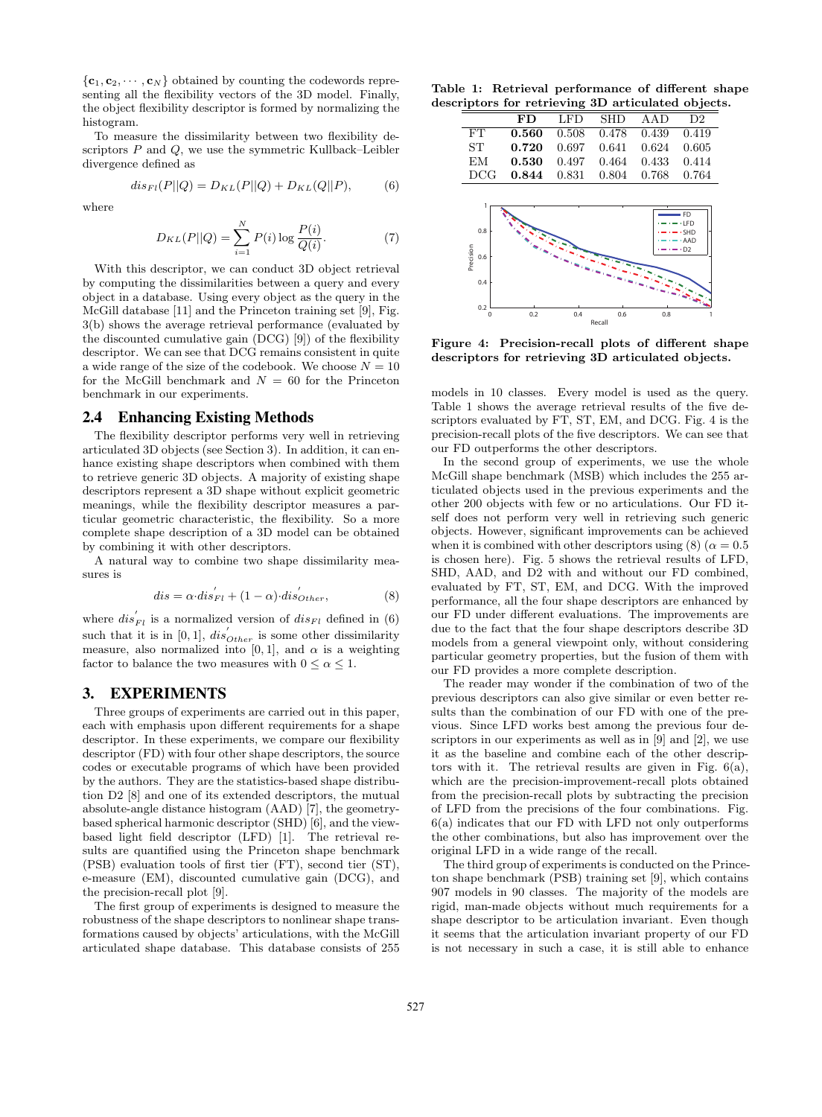${c_1, c_2, \cdots, c_N}$  obtained by counting the codewords representing all the flexibility vectors of the 3D model. Finally, the object flexibility descriptor is formed by normalizing the histogram.

To measure the dissimilarity between two flexibility descriptors  $P$  and  $Q$ , we use the symmetric Kullback–Leibler divergence defined as

$$
dis_{Fl}(P||Q) = D_{KL}(P||Q) + D_{KL}(Q||P),
$$
 (6)

where

$$
D_{KL}(P||Q) = \sum_{i=1}^{N} P(i) \log \frac{P(i)}{Q(i)}.
$$
 (7)

With this descriptor, we can conduct 3D object retrieval by computing the dissimilarities between a query and every object in a database. Using every object as the query in the McGill database [11] and the Princeton training set [9], Fig. 3(b) shows the average retrieval performance (evaluated by the discounted cumulative gain (DCG) [9]) of the flexibility descriptor. We can see that DCG remains consistent in quite a wide range of the size of the codebook. We choose  $N = 10$ for the McGill benchmark and  $N = 60$  for the Princeton benchmark in our experiments.

#### 2.4 Enhancing Existing Methods

The flexibility descriptor performs very well in retrieving articulated 3D objects (see Section 3). In addition, it can enhance existing shape descriptors when combined with them to retrieve generic 3D objects. A majority of existing shape descriptors represent a 3D shape without explicit geometric meanings, while the flexibility descriptor measures a particular geometric characteristic, the flexibility. So a more complete shape description of a 3D model can be obtained by combining it with other descriptors.

A natural way to combine two shape dissimilarity measures is

$$
dis = \alpha \cdot dis_{Fl}^{'} + (1 - \alpha) \cdot dis_{Other}', \qquad (8)
$$

where  $dis'_{Fl}$  is a normalized version of  $dis_{Fl}$  defined in (6) such that it is in [0, 1],  $dis'_{Other}$  is some other dissimilarity measure, also normalized into [0, 1], and  $\alpha$  is a weighting factor to balance the two measures with  $0 \leq \alpha \leq 1$ .

## 3. EXPERIMENTS

Three groups of experiments are carried out in this paper, each with emphasis upon different requirements for a shape descriptor. In these experiments, we compare our flexibility descriptor (FD) with four other shape descriptors, the source codes or executable programs of which have been provided by the authors. They are the statistics-based shape distribution D2 [8] and one of its extended descriptors, the mutual absolute-angle distance histogram (AAD) [7], the geometrybased spherical harmonic descriptor (SHD) [6], and the viewbased light field descriptor (LFD) [1]. The retrieval results are quantified using the Princeton shape benchmark (PSB) evaluation tools of first tier (FT), second tier (ST), e-measure (EM), discounted cumulative gain (DCG), and the precision-recall plot [9].

The first group of experiments is designed to measure the robustness of the shape descriptors to nonlinear shape transformations caused by objects' articulations, with the McGill articulated shape database. This database consists of 255

Table 1: Retrieval performance of different shape descriptors for retrieving 3D articulated objects.

|           | FD    | LFD   |                         | SHD AAD                 | D2 |
|-----------|-------|-------|-------------------------|-------------------------|----|
| FT.       | 0.560 |       | 0.508 0.478 0.439 0.419 |                         |    |
| <b>ST</b> | 0.720 | 0.697 | 0.641                   | 0.624 0.605             |    |
| EМ        | 0.530 | 0.497 |                         | $0.464$ $0.433$ $0.414$ |    |
| DCG-      | 0.844 | 0.831 | 0.804                   | 0.768 0.764             |    |



Figure 4: Precision-recall plots of different shape descriptors for retrieving 3D articulated objects.

models in 10 classes. Every model is used as the query. Table 1 shows the average retrieval results of the five descriptors evaluated by FT, ST, EM, and DCG. Fig. 4 is the precision-recall plots of the five descriptors. We can see that our FD outperforms the other descriptors.

In the second group of experiments, we use the whole McGill shape benchmark (MSB) which includes the 255 articulated objects used in the previous experiments and the other 200 objects with few or no articulations. Our FD itself does not perform very well in retrieving such generic objects. However, significant improvements can be achieved when it is combined with other descriptors using (8) ( $\alpha = 0.5$ ) is chosen here). Fig. 5 shows the retrieval results of LFD, SHD, AAD, and D2 with and without our FD combined, evaluated by FT, ST, EM, and DCG. With the improved performance, all the four shape descriptors are enhanced by our FD under different evaluations. The improvements are due to the fact that the four shape descriptors describe 3D models from a general viewpoint only, without considering particular geometry properties, but the fusion of them with our FD provides a more complete description.

The reader may wonder if the combination of two of the previous descriptors can also give similar or even better results than the combination of our FD with one of the previous. Since LFD works best among the previous four descriptors in our experiments as well as in [9] and [2], we use it as the baseline and combine each of the other descriptors with it. The retrieval results are given in Fig. 6(a), which are the precision-improvement-recall plots obtained from the precision-recall plots by subtracting the precision of LFD from the precisions of the four combinations. Fig. 6(a) indicates that our FD with LFD not only outperforms the other combinations, but also has improvement over the original LFD in a wide range of the recall.

The third group of experiments is conducted on the Princeton shape benchmark (PSB) training set [9], which contains 907 models in 90 classes. The majority of the models are rigid, man-made objects without much requirements for a shape descriptor to be articulation invariant. Even though it seems that the articulation invariant property of our FD is not necessary in such a case, it is still able to enhance